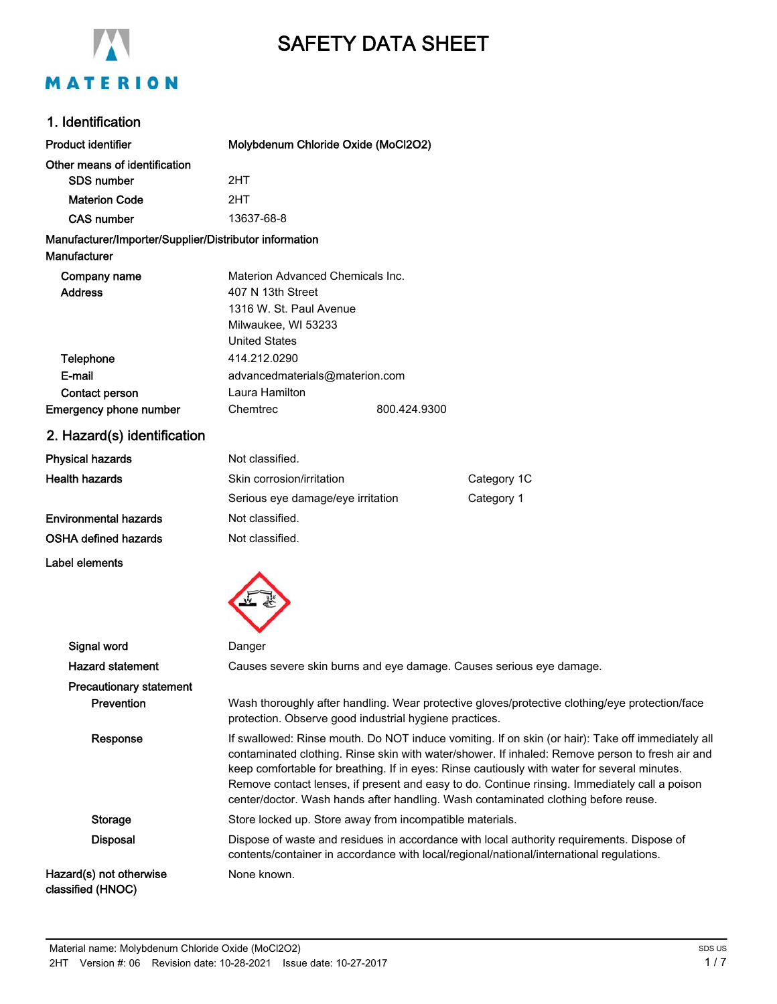

# SAFETY DATA SHEET

# 1. Identification

| <b>Product identifier</b>                                              | Molybdenum Chloride Oxide (MoCl2O2)                                                                                                                                                                                                                                                                                                                                                                                                                                                         |              |                                                                                                |
|------------------------------------------------------------------------|---------------------------------------------------------------------------------------------------------------------------------------------------------------------------------------------------------------------------------------------------------------------------------------------------------------------------------------------------------------------------------------------------------------------------------------------------------------------------------------------|--------------|------------------------------------------------------------------------------------------------|
| Other means of identification                                          |                                                                                                                                                                                                                                                                                                                                                                                                                                                                                             |              |                                                                                                |
| <b>SDS number</b>                                                      | 2HT                                                                                                                                                                                                                                                                                                                                                                                                                                                                                         |              |                                                                                                |
| <b>Materion Code</b>                                                   | 2HT                                                                                                                                                                                                                                                                                                                                                                                                                                                                                         |              |                                                                                                |
| <b>CAS number</b>                                                      | 13637-68-8                                                                                                                                                                                                                                                                                                                                                                                                                                                                                  |              |                                                                                                |
| Manufacturer/Importer/Supplier/Distributor information<br>Manufacturer |                                                                                                                                                                                                                                                                                                                                                                                                                                                                                             |              |                                                                                                |
| Company name<br><b>Address</b>                                         | Materion Advanced Chemicals Inc.<br>407 N 13th Street<br>1316 W. St. Paul Avenue<br>Milwaukee, WI 53233<br><b>United States</b>                                                                                                                                                                                                                                                                                                                                                             |              |                                                                                                |
| Telephone                                                              | 414.212.0290                                                                                                                                                                                                                                                                                                                                                                                                                                                                                |              |                                                                                                |
| E-mail                                                                 | advancedmaterials@materion.com                                                                                                                                                                                                                                                                                                                                                                                                                                                              |              |                                                                                                |
| Contact person                                                         | Laura Hamilton                                                                                                                                                                                                                                                                                                                                                                                                                                                                              |              |                                                                                                |
| Emergency phone number                                                 | Chemtrec                                                                                                                                                                                                                                                                                                                                                                                                                                                                                    | 800.424.9300 |                                                                                                |
| 2. Hazard(s) identification                                            |                                                                                                                                                                                                                                                                                                                                                                                                                                                                                             |              |                                                                                                |
| <b>Physical hazards</b>                                                | Not classified.                                                                                                                                                                                                                                                                                                                                                                                                                                                                             |              |                                                                                                |
| <b>Health hazards</b>                                                  | Skin corrosion/irritation                                                                                                                                                                                                                                                                                                                                                                                                                                                                   |              | Category 1C                                                                                    |
|                                                                        | Serious eye damage/eye irritation                                                                                                                                                                                                                                                                                                                                                                                                                                                           |              | Category 1                                                                                     |
| <b>Environmental hazards</b>                                           | Not classified.                                                                                                                                                                                                                                                                                                                                                                                                                                                                             |              |                                                                                                |
| OSHA defined hazards                                                   | Not classified.                                                                                                                                                                                                                                                                                                                                                                                                                                                                             |              |                                                                                                |
| Label elements                                                         |                                                                                                                                                                                                                                                                                                                                                                                                                                                                                             |              |                                                                                                |
|                                                                        |                                                                                                                                                                                                                                                                                                                                                                                                                                                                                             |              |                                                                                                |
| Signal word                                                            | Danger                                                                                                                                                                                                                                                                                                                                                                                                                                                                                      |              |                                                                                                |
| <b>Hazard statement</b>                                                |                                                                                                                                                                                                                                                                                                                                                                                                                                                                                             |              | Causes severe skin burns and eye damage. Causes serious eye damage.                            |
| <b>Precautionary statement</b>                                         |                                                                                                                                                                                                                                                                                                                                                                                                                                                                                             |              |                                                                                                |
| Prevention                                                             | protection. Observe good industrial hygiene practices.                                                                                                                                                                                                                                                                                                                                                                                                                                      |              | Wash thoroughly after handling. Wear protective gloves/protective clothing/eye protection/face |
| Response                                                               | If swallowed: Rinse mouth. Do NOT induce vomiting. If on skin (or hair): Take off immediately all<br>contaminated clothing. Rinse skin with water/shower. If inhaled: Remove person to fresh air and<br>keep comfortable for breathing. If in eyes: Rinse cautiously with water for several minutes.<br>Remove contact lenses, if present and easy to do. Continue rinsing. Immediately call a poison<br>center/doctor. Wash hands after handling. Wash contaminated clothing before reuse. |              |                                                                                                |
| <b>Storage</b>                                                         | Store locked up. Store away from incompatible materials.                                                                                                                                                                                                                                                                                                                                                                                                                                    |              |                                                                                                |
| <b>Disposal</b>                                                        | Dispose of waste and residues in accordance with local authority requirements. Dispose of<br>contents/container in accordance with local/regional/national/international regulations.                                                                                                                                                                                                                                                                                                       |              |                                                                                                |
| Hazard(s) not otherwise<br>classified (HNOC)                           | None known.                                                                                                                                                                                                                                                                                                                                                                                                                                                                                 |              |                                                                                                |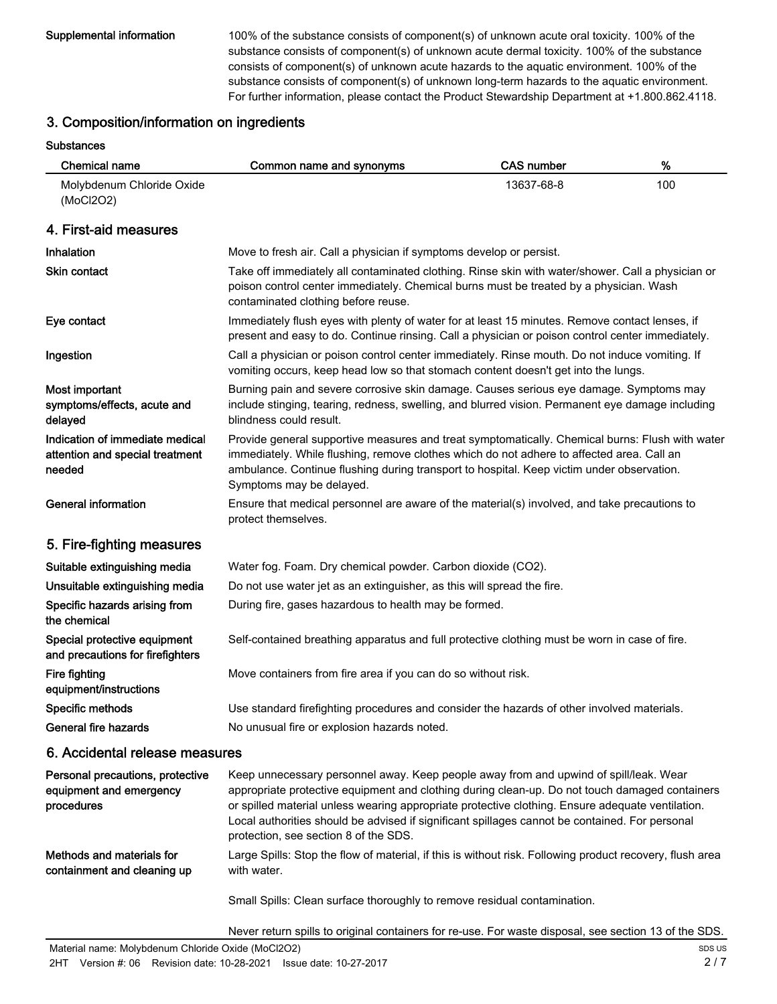Supplemental information 100% of the substance consists of component(s) of unknown acute oral toxicity. 100% of the substance consists of component(s) of unknown acute dermal toxicity. 100% of the substance consists of component(s) of unknown acute hazards to the aquatic environment. 100% of the substance consists of component(s) of unknown long-term hazards to the aquatic environment. For further information, please contact the Product Stewardship Department at +1.800.862.4118.

### 3. Composition/information on ingredients

### Substances

| <b>Chemical name</b>                                                         | Common name and synonyms                                                                                                                                                                                                                                                                                                                                                                                                               | <b>CAS number</b> | $\%$ |
|------------------------------------------------------------------------------|----------------------------------------------------------------------------------------------------------------------------------------------------------------------------------------------------------------------------------------------------------------------------------------------------------------------------------------------------------------------------------------------------------------------------------------|-------------------|------|
| Molybdenum Chloride Oxide<br>(MoCl2O2)                                       |                                                                                                                                                                                                                                                                                                                                                                                                                                        | 13637-68-8        | 100  |
| 4. First-aid measures                                                        |                                                                                                                                                                                                                                                                                                                                                                                                                                        |                   |      |
| Inhalation                                                                   | Move to fresh air. Call a physician if symptoms develop or persist.                                                                                                                                                                                                                                                                                                                                                                    |                   |      |
| Skin contact                                                                 | Take off immediately all contaminated clothing. Rinse skin with water/shower. Call a physician or<br>poison control center immediately. Chemical burns must be treated by a physician. Wash<br>contaminated clothing before reuse.                                                                                                                                                                                                     |                   |      |
| Eye contact                                                                  | Immediately flush eyes with plenty of water for at least 15 minutes. Remove contact lenses, if<br>present and easy to do. Continue rinsing. Call a physician or poison control center immediately.                                                                                                                                                                                                                                     |                   |      |
| Ingestion                                                                    | Call a physician or poison control center immediately. Rinse mouth. Do not induce vomiting. If<br>vomiting occurs, keep head low so that stomach content doesn't get into the lungs.                                                                                                                                                                                                                                                   |                   |      |
| Most important<br>symptoms/effects, acute and<br>delayed                     | Burning pain and severe corrosive skin damage. Causes serious eye damage. Symptoms may<br>include stinging, tearing, redness, swelling, and blurred vision. Permanent eye damage including<br>blindness could result.                                                                                                                                                                                                                  |                   |      |
| Indication of immediate medical<br>attention and special treatment<br>needed | Provide general supportive measures and treat symptomatically. Chemical burns: Flush with water<br>immediately. While flushing, remove clothes which do not adhere to affected area. Call an<br>ambulance. Continue flushing during transport to hospital. Keep victim under observation.<br>Symptoms may be delayed.                                                                                                                  |                   |      |
| <b>General information</b>                                                   | Ensure that medical personnel are aware of the material(s) involved, and take precautions to<br>protect themselves.                                                                                                                                                                                                                                                                                                                    |                   |      |
| 5. Fire-fighting measures                                                    |                                                                                                                                                                                                                                                                                                                                                                                                                                        |                   |      |
| Suitable extinguishing media                                                 | Water fog. Foam. Dry chemical powder. Carbon dioxide (CO2).                                                                                                                                                                                                                                                                                                                                                                            |                   |      |
| Unsuitable extinguishing media                                               | Do not use water jet as an extinguisher, as this will spread the fire.                                                                                                                                                                                                                                                                                                                                                                 |                   |      |
| Specific hazards arising from<br>the chemical                                | During fire, gases hazardous to health may be formed.                                                                                                                                                                                                                                                                                                                                                                                  |                   |      |
| Special protective equipment<br>and precautions for firefighters             | Self-contained breathing apparatus and full protective clothing must be worn in case of fire.                                                                                                                                                                                                                                                                                                                                          |                   |      |
| <b>Fire fighting</b><br>equipment/instructions                               | Move containers from fire area if you can do so without risk.                                                                                                                                                                                                                                                                                                                                                                          |                   |      |
| Specific methods                                                             | Use standard firefighting procedures and consider the hazards of other involved materials.                                                                                                                                                                                                                                                                                                                                             |                   |      |
| <b>General fire hazards</b>                                                  | No unusual fire or explosion hazards noted.                                                                                                                                                                                                                                                                                                                                                                                            |                   |      |
| 6. Accidental release measures                                               |                                                                                                                                                                                                                                                                                                                                                                                                                                        |                   |      |
| Personal precautions, protective<br>equipment and emergency<br>procedures    | Keep unnecessary personnel away. Keep people away from and upwind of spill/leak. Wear<br>appropriate protective equipment and clothing during clean-up. Do not touch damaged containers<br>or spilled material unless wearing appropriate protective clothing. Ensure adequate ventilation.<br>Local authorities should be advised if significant spillages cannot be contained. For personal<br>protection, see section 8 of the SDS. |                   |      |
| Methods and materials for<br>containment and cleaning up                     | Large Spills: Stop the flow of material, if this is without risk. Following product recovery, flush area<br>with water.                                                                                                                                                                                                                                                                                                                |                   |      |
|                                                                              | Small Spills: Clean surface thoroughly to remove residual contamination.                                                                                                                                                                                                                                                                                                                                                               |                   |      |

Never return spills to original containers for re-use. For waste disposal, see section 13 of the SDS.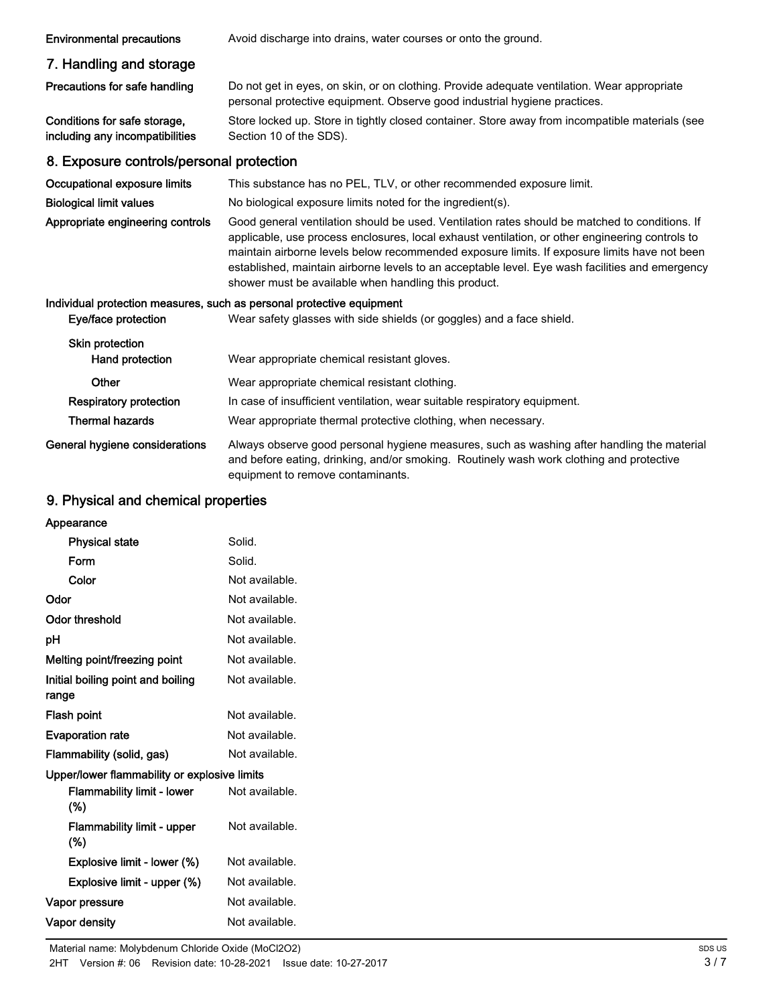| <b>Environmental precautions</b>                                | Avoid discharge into drains, water courses or onto the ground.                                                                                                                                                                                                                                                                                                                                                                                               |
|-----------------------------------------------------------------|--------------------------------------------------------------------------------------------------------------------------------------------------------------------------------------------------------------------------------------------------------------------------------------------------------------------------------------------------------------------------------------------------------------------------------------------------------------|
| 7. Handling and storage                                         |                                                                                                                                                                                                                                                                                                                                                                                                                                                              |
| Precautions for safe handling                                   | Do not get in eyes, on skin, or on clothing. Provide adequate ventilation. Wear appropriate<br>personal protective equipment. Observe good industrial hygiene practices.                                                                                                                                                                                                                                                                                     |
| Conditions for safe storage,<br>including any incompatibilities | Store locked up. Store in tightly closed container. Store away from incompatible materials (see<br>Section 10 of the SDS).                                                                                                                                                                                                                                                                                                                                   |
| 8. Exposure controls/personal protection                        |                                                                                                                                                                                                                                                                                                                                                                                                                                                              |
| Occupational exposure limits                                    | This substance has no PEL, TLV, or other recommended exposure limit.                                                                                                                                                                                                                                                                                                                                                                                         |
| <b>Biological limit values</b>                                  | No biological exposure limits noted for the ingredient(s).                                                                                                                                                                                                                                                                                                                                                                                                   |
| Appropriate engineering controls                                | Good general ventilation should be used. Ventilation rates should be matched to conditions. If<br>applicable, use process enclosures, local exhaust ventilation, or other engineering controls to<br>maintain airborne levels below recommended exposure limits. If exposure limits have not been<br>established, maintain airborne levels to an acceptable level. Eye wash facilities and emergency<br>shower must be available when handling this product. |
| Eye/face protection                                             | Individual protection measures, such as personal protective equipment<br>Wear safety glasses with side shields (or goggles) and a face shield.                                                                                                                                                                                                                                                                                                               |
| Skin protection<br>Hand protection                              | Wear appropriate chemical resistant gloves.                                                                                                                                                                                                                                                                                                                                                                                                                  |
| Other                                                           | Wear appropriate chemical resistant clothing.                                                                                                                                                                                                                                                                                                                                                                                                                |
| <b>Respiratory protection</b>                                   | In case of insufficient ventilation, wear suitable respiratory equipment.                                                                                                                                                                                                                                                                                                                                                                                    |
| <b>Thermal hazards</b>                                          | Wear appropriate thermal protective clothing, when necessary.                                                                                                                                                                                                                                                                                                                                                                                                |
| General hygiene considerations                                  | Always observe good personal hygiene measures, such as washing after handling the material<br>and before eating, drinking, and/or smoking. Routinely wash work clothing and protective<br>equipment to remove contaminants.                                                                                                                                                                                                                                  |

# 9. Physical and chemical properties

| Appearance                                   |                |
|----------------------------------------------|----------------|
| <b>Physical state</b>                        | Solid.         |
| Form                                         | Solid.         |
| Color                                        | Not available. |
| Odor                                         | Not available. |
| Odor threshold                               | Not available. |
| рH                                           | Not available. |
| Melting point/freezing point                 | Not available. |
| Initial boiling point and boiling<br>range   | Not available. |
| Flash point                                  | Not available. |
| <b>Evaporation rate</b>                      | Not available. |
| Flammability (solid, gas)                    | Not available. |
| Upper/lower flammability or explosive limits |                |
| <b>Flammability limit - lower</b><br>$(\% )$ | Not available. |
| <b>Flammability limit - upper</b><br>$(\%)$  | Not available. |
| Explosive limit - lower (%)                  | Not available. |
| Explosive limit - upper (%)                  | Not available. |
| Vapor pressure                               | Not available. |
| <b>Vapor density</b>                         | Not available. |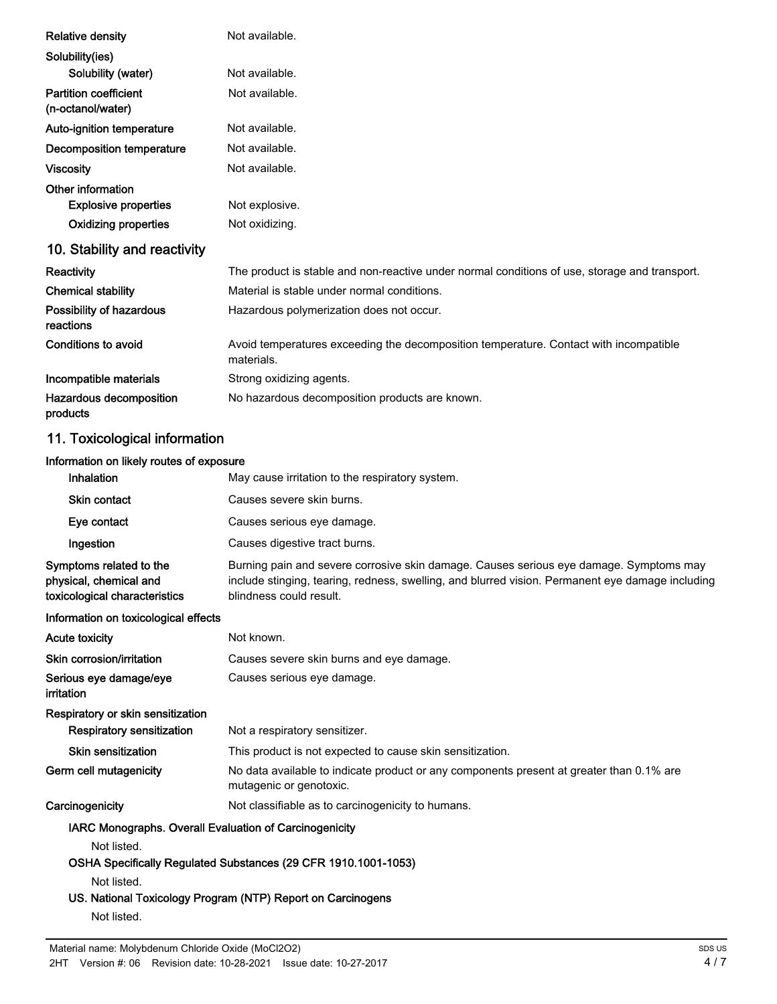| <b>Relative density</b>                                                            | Not available.                                                                                                                                                                                                        |
|------------------------------------------------------------------------------------|-----------------------------------------------------------------------------------------------------------------------------------------------------------------------------------------------------------------------|
| Solubility(ies)                                                                    |                                                                                                                                                                                                                       |
| Solubility (water)                                                                 | Not available.                                                                                                                                                                                                        |
| <b>Partition coefficient</b><br>(n-octanol/water)                                  | Not available.                                                                                                                                                                                                        |
| Auto-ignition temperature                                                          | Not available.                                                                                                                                                                                                        |
| <b>Decomposition temperature</b>                                                   | Not available.                                                                                                                                                                                                        |
| <b>Viscosity</b>                                                                   | Not available.                                                                                                                                                                                                        |
| Other information<br><b>Explosive properties</b>                                   | Not explosive.                                                                                                                                                                                                        |
| <b>Oxidizing properties</b>                                                        | Not oxidizing.                                                                                                                                                                                                        |
| 10. Stability and reactivity                                                       |                                                                                                                                                                                                                       |
| Reactivity                                                                         | The product is stable and non-reactive under normal conditions of use, storage and transport.                                                                                                                         |
| <b>Chemical stability</b>                                                          | Material is stable under normal conditions.                                                                                                                                                                           |
| Possibility of hazardous<br>reactions                                              | Hazardous polymerization does not occur.                                                                                                                                                                              |
| <b>Conditions to avoid</b>                                                         | Avoid temperatures exceeding the decomposition temperature. Contact with incompatible<br>materials.                                                                                                                   |
| Incompatible materials                                                             | Strong oxidizing agents.                                                                                                                                                                                              |
| Hazardous decomposition<br>products                                                | No hazardous decomposition products are known.                                                                                                                                                                        |
| 11. Toxicological information                                                      |                                                                                                                                                                                                                       |
| Information on likely routes of exposure                                           |                                                                                                                                                                                                                       |
| Inhalation                                                                         | May cause irritation to the respiratory system.                                                                                                                                                                       |
| <b>Skin contact</b>                                                                | Causes severe skin burns.                                                                                                                                                                                             |
| Eye contact                                                                        | Causes serious eye damage.                                                                                                                                                                                            |
| Ingestion                                                                          | Causes digestive tract burns.                                                                                                                                                                                         |
| Symptoms related to the<br>physical, chemical and<br>toxicological characteristics | Burning pain and severe corrosive skin damage. Causes serious eye damage. Symptoms may<br>include stinging, tearing, redness, swelling, and blurred vision. Permanent eye damage including<br>blindness could result. |
| Information on toxicological effects                                               |                                                                                                                                                                                                                       |
| <b>Acute toxicity</b>                                                              | Not known.                                                                                                                                                                                                            |
| Skin corrosion/irritation                                                          | Causes severe skin burns and eye damage.                                                                                                                                                                              |
| Serious eye damage/eye<br>irritation                                               | Causes serious eye damage.                                                                                                                                                                                            |
|                                                                                    |                                                                                                                                                                                                                       |

Respiratory or skin sensitization Respiratory sensitization Not a respiratory sensitizer.

Skin sensitization This product is not expected to cause skin sensitization.

No data available to indicate product or any components present at greater than 0.1% are mutagenic or genotoxic. Germ cell mutagenicity Carcinogenicity Mot classifiable as to carcinogenicity to humans.

IARC Monographs. Overall Evaluation of Carcinogenicity

Not listed.

### OSHA Specifically Regulated Substances (29 CFR 1910.1001-1053)

Not listed.

### US. National Toxicology Program (NTP) Report on Carcinogens

Not listed.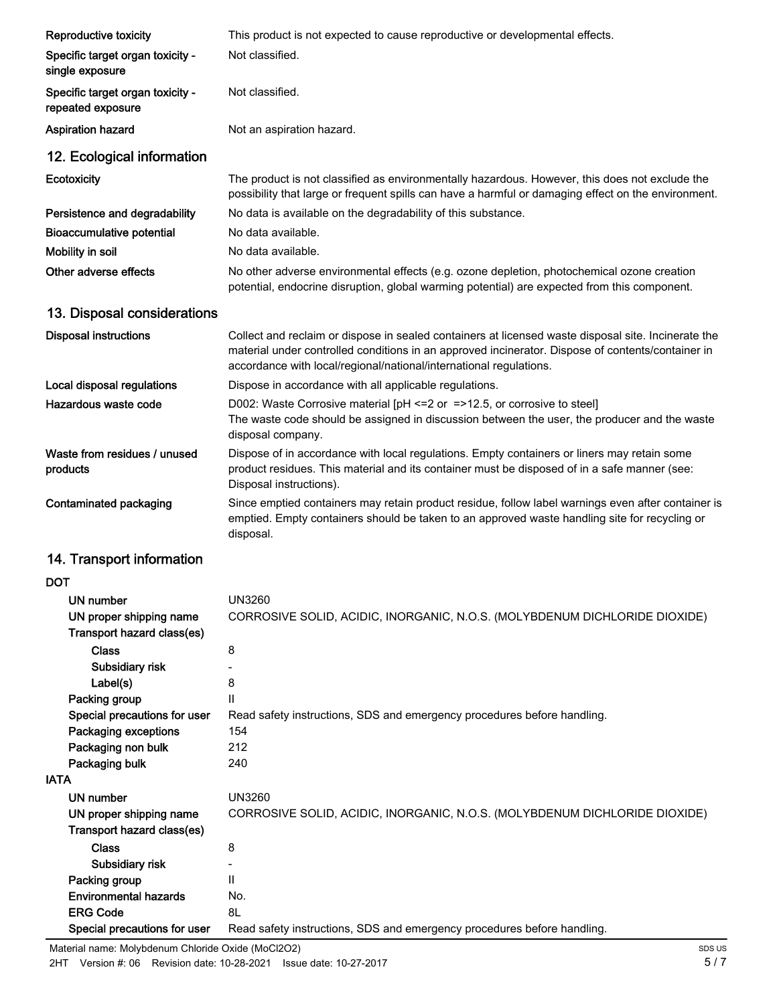| Reproductive toxicity                                 | This product is not expected to cause reproductive or developmental effects.                                                                                                                                                                                                   |
|-------------------------------------------------------|--------------------------------------------------------------------------------------------------------------------------------------------------------------------------------------------------------------------------------------------------------------------------------|
| Specific target organ toxicity -<br>single exposure   | Not classified.                                                                                                                                                                                                                                                                |
| Specific target organ toxicity -<br>repeated exposure | Not classified.                                                                                                                                                                                                                                                                |
| <b>Aspiration hazard</b>                              | Not an aspiration hazard.                                                                                                                                                                                                                                                      |
| 12. Ecological information                            |                                                                                                                                                                                                                                                                                |
| Ecotoxicity                                           | The product is not classified as environmentally hazardous. However, this does not exclude the<br>possibility that large or frequent spills can have a harmful or damaging effect on the environment.                                                                          |
| Persistence and degradability                         | No data is available on the degradability of this substance.                                                                                                                                                                                                                   |
| <b>Bioaccumulative potential</b>                      | No data available.                                                                                                                                                                                                                                                             |
| Mobility in soil                                      | No data available.                                                                                                                                                                                                                                                             |
| Other adverse effects                                 | No other adverse environmental effects (e.g. ozone depletion, photochemical ozone creation<br>potential, endocrine disruption, global warming potential) are expected from this component.                                                                                     |
| 13. Disposal considerations                           |                                                                                                                                                                                                                                                                                |
| <b>Disposal instructions</b>                          | Collect and reclaim or dispose in sealed containers at licensed waste disposal site. Incinerate the<br>material under controlled conditions in an approved incinerator. Dispose of contents/container in<br>accordance with local/regional/national/international regulations. |
| Local disposal regulations                            | Dispose in accordance with all applicable regulations.                                                                                                                                                                                                                         |
| Hazardous waste code                                  | D002: Waste Corrosive material [pH <= 2 or = >12.5, or corrosive to steel]<br>The waste code should be assigned in discussion between the user, the producer and the waste<br>disposal company.                                                                                |
| Waste from residues / unused<br>products              | Dispose of in accordance with local regulations. Empty containers or liners may retain some<br>product residues. This material and its container must be disposed of in a safe manner (see:<br>Disposal instructions).                                                         |
| Contaminated packaging                                | Since emptied containers may retain product residue, follow label warnings even after container is<br>emptied. Empty containers should be taken to an approved waste handling site for recycling or<br>disposal.                                                               |
| 14. Transport information                             |                                                                                                                                                                                                                                                                                |
| <b>DOT</b>                                            |                                                                                                                                                                                                                                                                                |
| <b>UN number</b>                                      | <b>UN3260</b>                                                                                                                                                                                                                                                                  |
| UN proper shipping name<br>Transport hazard class(es) | CORROSIVE SOLID, ACIDIC, INORGANIC, N.O.S. (MOLYBDENUM DICHLORIDE DIOXIDE)                                                                                                                                                                                                     |
| <b>Class</b>                                          | 8                                                                                                                                                                                                                                                                              |
| Subsidiary risk                                       |                                                                                                                                                                                                                                                                                |
| Label(s)                                              | 8                                                                                                                                                                                                                                                                              |
| Packing group<br>Special precautions for user         | $\mathsf{II}$<br>Read safety instructions, SDS and emergency procedures before handling.                                                                                                                                                                                       |
| Packaging exceptions                                  | 154                                                                                                                                                                                                                                                                            |
| Packaging non bulk                                    | 212                                                                                                                                                                                                                                                                            |
| Packaging bulk                                        | 240                                                                                                                                                                                                                                                                            |
| <b>IATA</b>                                           |                                                                                                                                                                                                                                                                                |
| <b>UN number</b>                                      | <b>UN3260</b>                                                                                                                                                                                                                                                                  |
| UN proper shipping name<br>Transport hazard class(es) | CORROSIVE SOLID, ACIDIC, INORGANIC, N.O.S. (MOLYBDENUM DICHLORIDE DIOXIDE)                                                                                                                                                                                                     |
| <b>Class</b>                                          | 8                                                                                                                                                                                                                                                                              |
| Subsidiary risk                                       |                                                                                                                                                                                                                                                                                |
| Packing group                                         | $\mathsf{II}$                                                                                                                                                                                                                                                                  |
| <b>Environmental hazards</b>                          | No.                                                                                                                                                                                                                                                                            |
| <b>ERG Code</b>                                       | 8L                                                                                                                                                                                                                                                                             |
| Special precautions for user                          | Read safety instructions, SDS and emergency procedures before handling.                                                                                                                                                                                                        |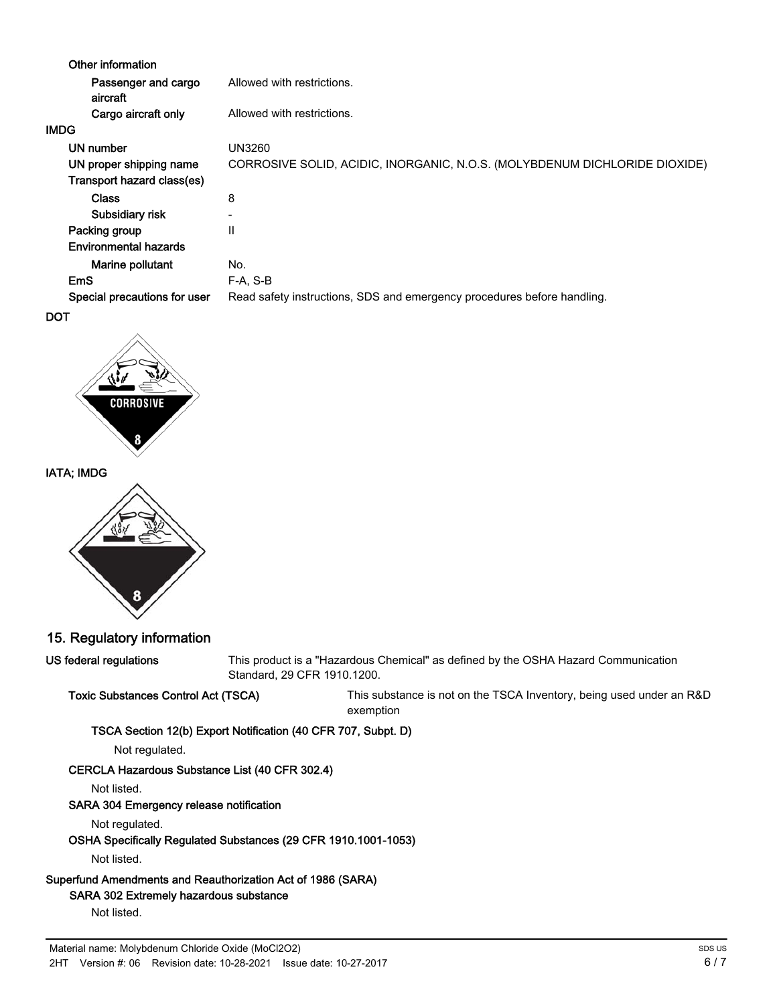| Other information               |                                                                            |
|---------------------------------|----------------------------------------------------------------------------|
| Passenger and cargo<br>aircraft | Allowed with restrictions.                                                 |
| Cargo aircraft only             | Allowed with restrictions.                                                 |
| IMDG                            |                                                                            |
| UN number                       | UN3260                                                                     |
| UN proper shipping name         | CORROSIVE SOLID, ACIDIC, INORGANIC, N.O.S. (MOLYBDENUM DICHLORIDE DIOXIDE) |
| Transport hazard class(es)      |                                                                            |
| <b>Class</b>                    | 8                                                                          |
| Subsidiary risk                 | $\overline{\phantom{0}}$                                                   |
| Packing group                   | $\mathsf{II}$                                                              |
| <b>Environmental hazards</b>    |                                                                            |
| Marine pollutant                | No.                                                                        |
| <b>EmS</b>                      | $F-A, S-B$                                                                 |
| Special precautions for user    | Read safety instructions, SDS and emergency procedures before handling.    |
| DOT                             |                                                                            |



### IATA; IMDG



### 15. Regulatory information

US federal regulations

This product is a "Hazardous Chemical" as defined by the OSHA Hazard Communication Standard, 29 CFR 1910.1200.

Toxic Substances Control Act (TSCA) This substance is not on the TSCA Inventory, being used under an R&D exemption

### TSCA Section 12(b) Export Notification (40 CFR 707, Subpt. D)

Not regulated.

### CERCLA Hazardous Substance List (40 CFR 302.4)

Not listed.

### SARA 304 Emergency release notification

Not regulated.

### OSHA Specifically Regulated Substances (29 CFR 1910.1001-1053)

Not listed.

# Superfund Amendments and Reauthorization Act of 1986 (SARA)

## SARA 302 Extremely hazardous substance

Not listed.